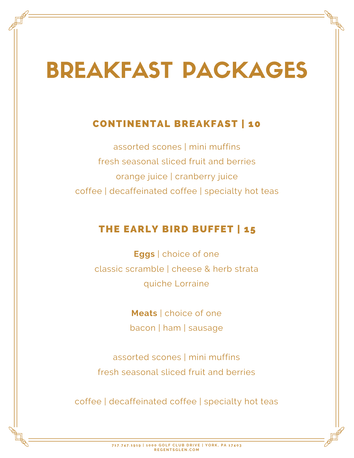# BREAKFAST PACKAGES

### CONTINENTAL BREAKFAST | 10

assorted scones I mini muffins fresh seasonal sliced fruit and berries orange juice | cranberry juice coffee | decaffeinated coffee | specialty hot teas

### THE EARLY BIRD BUFFET | 15

**Eggs** | choice of one classic scramble | cheese & herb strata quiche Lorraine

> **Meats** | choice of one bacon | ham | sausage

assorted scones I mini muffins fresh seasonal sliced fruit and berries

coffee | decaffeinated coffee | specialty hot teas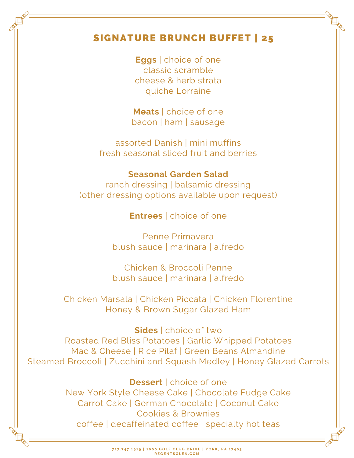### SIGNATURE BRUNCH BUFFET | 25

**Eggs** | choice of one classic scramble cheese & herb strata quiche Lorraine

**Meats** | choice of one bacon | ham | sausage

assorted Danish | mini muffins fresh seasonal sliced fruit and berries

#### **Seasonal Garden Salad**

ranch dressing | balsamic dressing (other dressing options available upon request)

**Entrees** | choice of one

Penne Primavera blush sauce | marinara | alfredo

Chicken & Broccoli Penne blush sauce | marinara | alfredo

Chicken Marsala | Chicken Piccata | Chicken Florentine Honey & Brown Sugar Glazed Ham

**Sides** | choice of two Roasted Red Bliss Potatoes | Garlic Whipped Potatoes Mac & Cheese | Rice Pilaf | Green Beans Almandine Steamed Broccoli | Zucchini and Squash Medley | Honey Glazed Carrots

### **Dessert** | choice of one New York Style Cheese Cake | Chocolate Fudge Cake Carrot Cake | German Chocolate | Coconut Cake Cookies & Brownies coffee | decaffeinated coffee | specialty hot teas

717.747.1919 | 1000 GOLF CLUB DRIVE | YORK, PA 17403 **R E G E N T S G L E N . C O M**